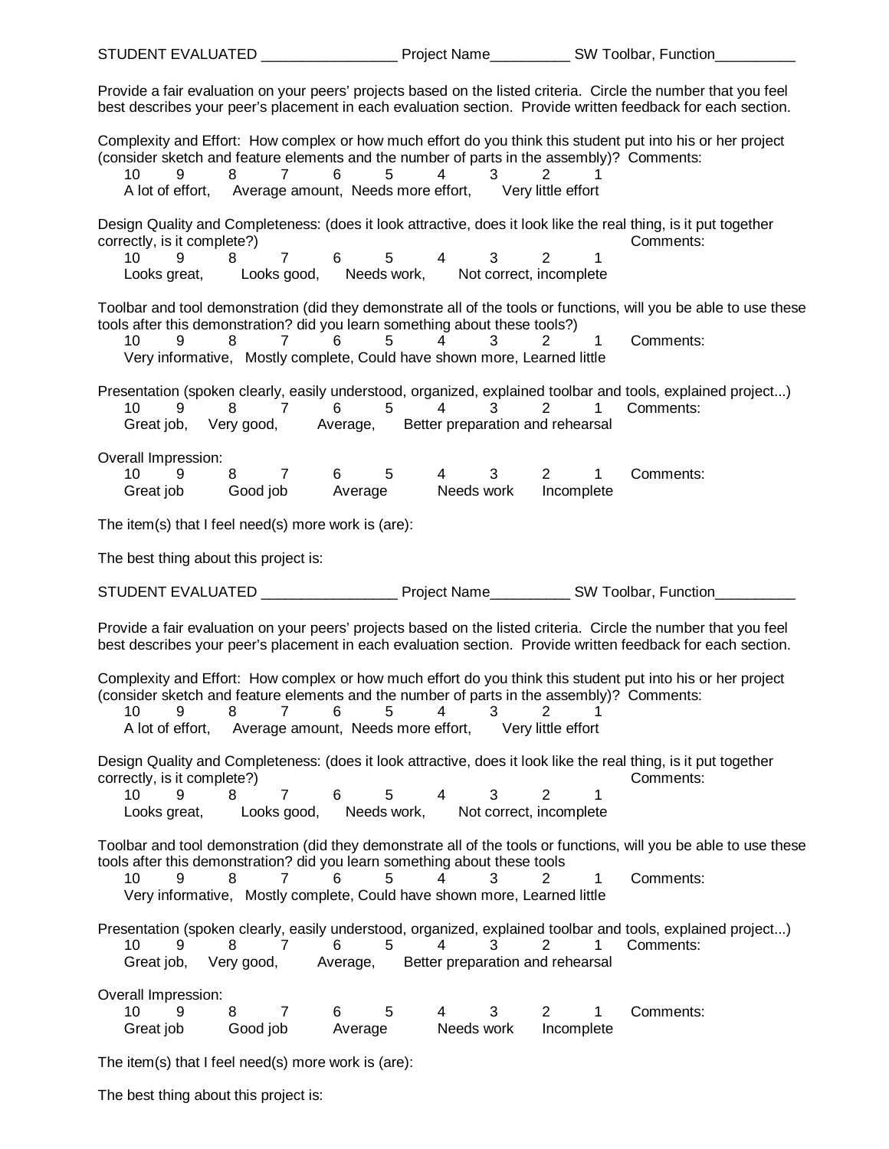| STUDENT EVALUATED ________________________ Project Name_____________ SW Toolbar, Function_                                                                                                                                                                                                                                |                                                                       |                              |
|---------------------------------------------------------------------------------------------------------------------------------------------------------------------------------------------------------------------------------------------------------------------------------------------------------------------------|-----------------------------------------------------------------------|------------------------------|
| Provide a fair evaluation on your peers' projects based on the listed criteria. Circle the number that you feel<br>best describes your peer's placement in each evaluation section. Provide written feedback for each section.                                                                                            |                                                                       |                              |
| Complexity and Effort: How complex or how much effort do you think this student put into his or her project<br>(consider sketch and feature elements and the number of parts in the assembly)? Comments:<br>$\overline{7}$<br>6<br>10<br>9<br>8<br>A lot of effort, Average amount, Needs more effort, Very little effort | 5<br>$4\overline{ }$<br>$3^{\circ}$<br>2                              | 1                            |
| Design Quality and Completeness: (does it look attractive, does it look like the real thing, is it put together<br>correctly, is it complete?)<br>$6\overline{6}$<br>7<br>10<br>9<br>Looks great, Looks good, Needs work, Not correct, incomplete                                                                         | $5 \qquad 4$<br>$3^{\circ}$<br>$\overline{2}$                         | Comments:<br>$\mathbf{1}$    |
| Toolbar and tool demonstration (did they demonstrate all of the tools or functions, will you be able to use these<br>tools after this demonstration? did you learn something about these tools?)<br>10<br>9<br>8<br>$7^{\circ}$<br>6<br>Very informative, Mostly complete, Could have shown more, Learned little          | 5<br>$\overline{4}$<br>3<br>2                                         | 1<br>Comments:               |
| Presentation (spoken clearly, easily understood, organized, explained toolbar and tools, explained project)<br>$\overline{7}$<br>$6\overline{6}$<br>10<br>9<br>8<br>Great job, Very good, Average, Better preparation and rehearsal                                                                                       | $5\qquad 4$<br>$3 \sim$<br>$2^{\circ}$                                | Comments:<br>$\mathbf{1}$    |
| Overall Impression:<br>8 7 6 5<br>9<br>10 <sup>°</sup><br>Great job Good job Average Needs work                                                                                                                                                                                                                           | $\overline{4}$<br>3 <sup>7</sup><br>$2^{\sim}$<br>Incomplete          | 1<br>Comments:               |
| The item(s) that I feel need(s) more work is (are):                                                                                                                                                                                                                                                                       |                                                                       |                              |
|                                                                                                                                                                                                                                                                                                                           |                                                                       |                              |
| The best thing about this project is:                                                                                                                                                                                                                                                                                     |                                                                       |                              |
| STUDENT EVALUATED _____________________Project Name______________SW Toolbar, Function                                                                                                                                                                                                                                     |                                                                       |                              |
| Provide a fair evaluation on your peers' projects based on the listed criteria. Circle the number that you feel<br>best describes your peer's placement in each evaluation section. Provide written feedback for each section.                                                                                            |                                                                       |                              |
| Complexity and Effort: How complex or how much effort do you think this student put into his or her project<br>(consider sketch and feature elements and the number of parts in the assembly)? Comments:<br>10<br>7<br>6<br>9<br>8<br>A lot of effort, Average amount, Needs more effort, Very little effort              | 5<br>3<br>2<br>4                                                      |                              |
| Design Quality and Completeness: (does it look attractive, does it look like the real thing, is it put together<br>correctly, is it complete?)<br>9<br>$\overline{7}$<br>10<br>8<br>6<br>Looks good, Needs work,<br>Looks great,                                                                                          | 5<br>$\overline{4}$<br>3<br>$\overline{2}$<br>Not correct, incomplete | Comments:<br>1               |
| Toolbar and tool demonstration (did they demonstrate all of the tools or functions, will you be able to use these<br>tools after this demonstration? did you learn something about these tools<br>10<br>8<br>9<br>7<br>6<br>Very informative, Mostly complete, Could have shown more, Learned little                      | 5<br>4<br>3<br>2                                                      | Comments:<br>1               |
| Presentation (spoken clearly, easily understood, organized, explained toolbar and tools, explained project)<br>10<br>9<br>7<br>8<br>6<br>Great job, Very good,                                                                                                                                                            | 5<br>4<br>2<br>3<br>Average, Better preparation and rehearsal         | 1<br>Comments:               |
| Overall Impression:<br>9<br>10<br>8<br>7<br>6<br>Great job<br>Average<br>Good job                                                                                                                                                                                                                                         | 5<br>3<br>4<br>2<br>Needs work                                        | Comments:<br>1<br>Incomplete |

The best thing about this project is: